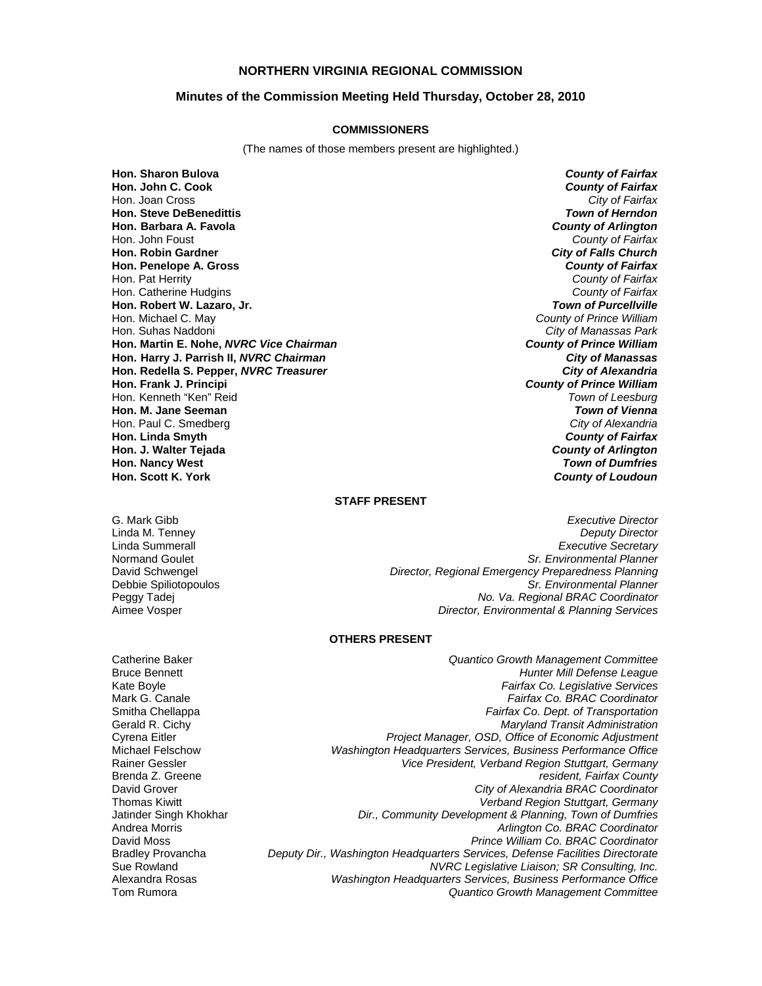## **NORTHERN VIRGINIA REGIONAL COMMISSION**

## **Minutes of the Commission Meeting Held Thursday, October 28, 2010**

## **COMMISSIONERS**

(The names of those members present are highlighted.)

**Hon. Sharon Bulova** *County of Fairfax* **Hon. John C. Cook** *County of Fairfax* Hon. Joan Cross *City of Fairfax* **Hon. Steve DeBenedittis** *Town of Herndon* **Hon. Barbara A. Favola** *County of Arlington* Hon. John Foust *County of Fairfax* **Hon. Robin Gardner** *City of Falls Church* **Hon. Penelope A. Gross** *County of Fairfax* Hon. Pat Herrity *County of Fairfax* Hon. Catherine Hudgins *County of Fairfax* **Hon. Robert W. Lazaro, Jr.** *Town of Purcellville* Hon. Michael C. May *County of Prince William* Hon. Suhas Naddoni *City of Manassas Park* **Hon. Martin E. Nohe,** *NVRC Vice Chairman County of Prince William* **Hon. Harry J. Parrish II,** *NVRC Chairman City of Manassas* **Hon. Redella S. Pepper,** *NVRC Treasurer City of Alexandria* **Hon. Frank J. Principi** *County of Prince William* Hon. Kenneth "Ken" Reid *Town of Leesburg* **Hon. M. Jane Seeman** *Town of Vienna* Hon. Paul C. Smedberg *City of Alexandria* **Hon. Linda Smyth** *County of Fairfax* **Hon. J. Walter Tejada** *County of Arlington* **Hon. Nancy West** *Town of Dumfries* **Hon. Scott K. York** *County of Loudoun*

#### **STAFF PRESENT**

G. Mark Gibb *Executive Director* **Deputy Director** Linda Summerall *Executive Secretary* Normand Goulet *Sr. Environmental Planner* David Schwengel *Director, Regional Emergency Preparedness Planning* Debbie Spiliotopoulos *Sr. Environmental Planner* Peggy Tadej *No. Va. Regional BRAC Coordinator* Aimee Vosper *Director, Environmental & Planning Services*

#### **OTHERS PRESENT**

Catherine Baker *Quantico Growth Management Committee* Bruce Bennett *Hunter Mill Defense League* Kate Boyle *Fairfax Co. Legislative Services* Mark G. Canale *Fairfax Co. BRAC Coordinator* Fairfax Co. Dept. of Transportation Gerald R. Cichy *Maryland Transit Administration* Cyrena Eitler *Project Manager, OSD, Office of Economic Adjustment* Michael Felschow *Washington Headquarters Services, Business Performance Office* Rainer Gessler *Vice President, Verband Region Stuttgart, Germany* Brenda Z. Greene *resident, Fairfax County* David Grover *City of Alexandria BRAC Coordinator* Thomas Kiwitt *Verband Region Stuttgart, Germany* Jatinder Singh Khokhar *Dir., Community Development & Planning, Town of Dumfries* Andrea Morris *Arlington Co. BRAC Coordinator* David Moss *Prince William Co. BRAC Coordinator* Bradley Provancha *Deputy Dir., Washington Headquarters Services, Defense Facilities Directorate* Sue Rowland *NVRC Legislative Liaison; SR Consulting, Inc.* Washington Headquarters Services, Business Performance Office Tom Rumora *Quantico Growth Management Committee*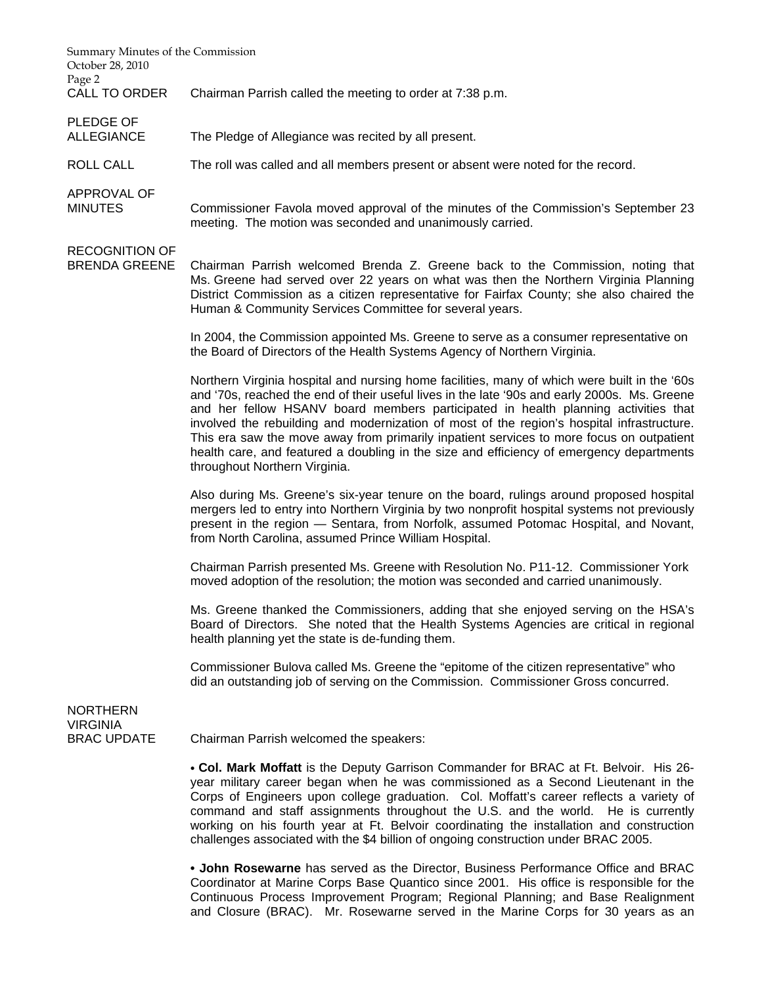| Summary Minutes of the Commission<br>October 28, 2010<br>Page 2 |                                                                                                                                                                                                                                                                                                                                                                                                                                                                                                                                                                                                           |
|-----------------------------------------------------------------|-----------------------------------------------------------------------------------------------------------------------------------------------------------------------------------------------------------------------------------------------------------------------------------------------------------------------------------------------------------------------------------------------------------------------------------------------------------------------------------------------------------------------------------------------------------------------------------------------------------|
| CALL TO ORDER                                                   | Chairman Parrish called the meeting to order at 7:38 p.m.                                                                                                                                                                                                                                                                                                                                                                                                                                                                                                                                                 |
| <b>PLEDGE OF</b><br><b>ALLEGIANCE</b>                           | The Pledge of Allegiance was recited by all present.                                                                                                                                                                                                                                                                                                                                                                                                                                                                                                                                                      |
| ROLL CALL                                                       | The roll was called and all members present or absent were noted for the record.                                                                                                                                                                                                                                                                                                                                                                                                                                                                                                                          |
| APPROVAL OF<br><b>MINUTES</b>                                   | Commissioner Favola moved approval of the minutes of the Commission's September 23<br>meeting. The motion was seconded and unanimously carried.                                                                                                                                                                                                                                                                                                                                                                                                                                                           |
| <b>RECOGNITION OF</b><br><b>BRENDA GREENE</b>                   | Chairman Parrish welcomed Brenda Z. Greene back to the Commission, noting that<br>Ms. Greene had served over 22 years on what was then the Northern Virginia Planning<br>District Commission as a citizen representative for Fairfax County; she also chaired the<br>Human & Community Services Committee for several years.                                                                                                                                                                                                                                                                              |
|                                                                 | In 2004, the Commission appointed Ms. Greene to serve as a consumer representative on<br>the Board of Directors of the Health Systems Agency of Northern Virginia.                                                                                                                                                                                                                                                                                                                                                                                                                                        |
|                                                                 | Northern Virginia hospital and nursing home facilities, many of which were built in the '60s<br>and '70s, reached the end of their useful lives in the late '90s and early 2000s. Ms. Greene<br>and her fellow HSANV board members participated in health planning activities that<br>involved the rebuilding and modernization of most of the region's hospital infrastructure.<br>This era saw the move away from primarily inpatient services to more focus on outpatient<br>health care, and featured a doubling in the size and efficiency of emergency departments<br>throughout Northern Virginia. |
|                                                                 | Also during Ms. Greene's six-year tenure on the board, rulings around proposed hospital<br>mergers led to entry into Northern Virginia by two nonprofit hospital systems not previously<br>present in the region - Sentara, from Norfolk, assumed Potomac Hospital, and Novant,<br>from North Carolina, assumed Prince William Hospital.                                                                                                                                                                                                                                                                  |
|                                                                 | Chairman Parrish presented Ms. Greene with Resolution No. P11-12. Commissioner York<br>moved adoption of the resolution; the motion was seconded and carried unanimously.                                                                                                                                                                                                                                                                                                                                                                                                                                 |
|                                                                 | Ms. Greene thanked the Commissioners, adding that she enjoyed serving on the HSA's<br>Board of Directors. She noted that the Health Systems Agencies are critical in regional<br>health planning yet the state is de-funding them.                                                                                                                                                                                                                                                                                                                                                                        |
|                                                                 | Commissioner Bulova called Ms. Greene the "epitome of the citizen representative" who<br>did an outstanding job of serving on the Commission. Commissioner Gross concurred.                                                                                                                                                                                                                                                                                                                                                                                                                               |
| <b>NORTHERN</b><br><b>VIRGINIA</b><br><b>BRAC UPDATE</b>        | Chairman Parrish welcomed the speakers:                                                                                                                                                                                                                                                                                                                                                                                                                                                                                                                                                                   |
|                                                                 | • Col. Mark Moffatt is the Deputy Garrison Commander for BRAC at Ft. Belvoir. His 26-<br>year military career began when he was commissioned as a Second Lieutenant in the<br>Corps of Engineers upon college graduation. Col. Moffatt's career reflects a variety of<br>command and staff assignments throughout the U.S. and the world. He is currently<br>working on his fourth year at Ft. Belvoir coordinating the installation and construction<br>challenges associated with the \$4 billion of ongoing construction under BRAC 2005.                                                              |
|                                                                 | $\bullet$ John Rosewarne has served as the Director Rusiness Performance Office and RRAC                                                                                                                                                                                                                                                                                                                                                                                                                                                                                                                  |

**• John Rosewarne** has served as the Director, Business Performance Office and BRAC Coordinator at Marine Corps Base Quantico since 2001. His office is responsible for the Continuous Process Improvement Program; Regional Planning; and Base Realignment and Closure (BRAC). Mr. Rosewarne served in the Marine Corps for 30 years as an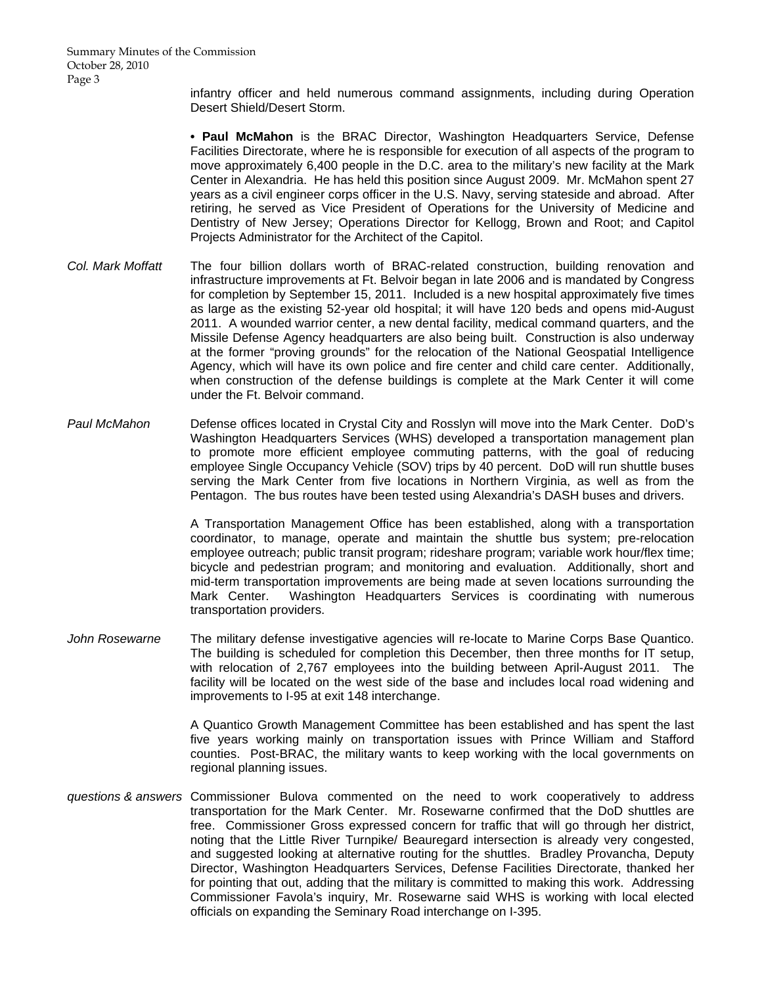infantry officer and held numerous command assignments, including during Operation Desert Shield/Desert Storm.

**• Paul McMahon** is the BRAC Director, Washington Headquarters Service, Defense Facilities Directorate, where he is responsible for execution of all aspects of the program to move approximately 6,400 people in the D.C. area to the military's new facility at the Mark Center in Alexandria. He has held this position since August 2009. Mr. McMahon spent 27 years as a civil engineer corps officer in the U.S. Navy, serving stateside and abroad. After retiring, he served as Vice President of Operations for the University of Medicine and Dentistry of New Jersey; Operations Director for Kellogg, Brown and Root; and Capitol Projects Administrator for the Architect of the Capitol.

- *Col. Mark Moffatt* The four billion dollars worth of BRAC-related construction, building renovation and infrastructure improvements at Ft. Belvoir began in late 2006 and is mandated by Congress for completion by September 15, 2011. Included is a new hospital approximately five times as large as the existing 52-year old hospital; it will have 120 beds and opens mid-August 2011. A wounded warrior center, a new dental facility, medical command quarters, and the Missile Defense Agency headquarters are also being built. Construction is also underway at the former "proving grounds" for the relocation of the National Geospatial Intelligence Agency, which will have its own police and fire center and child care center. Additionally, when construction of the defense buildings is complete at the Mark Center it will come under the Ft. Belvoir command.
- *Paul McMahon* Defense offices located in Crystal City and Rosslyn will move into the Mark Center. DoD's Washington Headquarters Services (WHS) developed a transportation management plan to promote more efficient employee commuting patterns, with the goal of reducing employee Single Occupancy Vehicle (SOV) trips by 40 percent. DoD will run shuttle buses serving the Mark Center from five locations in Northern Virginia, as well as from the Pentagon. The bus routes have been tested using Alexandria's DASH buses and drivers.

 A Transportation Management Office has been established, along with a transportation coordinator, to manage, operate and maintain the shuttle bus system; pre-relocation employee outreach; public transit program; rideshare program; variable work hour/flex time; bicycle and pedestrian program; and monitoring and evaluation. Additionally, short and mid-term transportation improvements are being made at seven locations surrounding the Mark Center. Washington Headquarters Services is coordinating with numerous transportation providers.

*John Rosewarne* The military defense investigative agencies will re-locate to Marine Corps Base Quantico. The building is scheduled for completion this December, then three months for IT setup, with relocation of 2,767 employees into the building between April-August 2011. The facility will be located on the west side of the base and includes local road widening and improvements to I-95 at exit 148 interchange.

> A Quantico Growth Management Committee has been established and has spent the last five years working mainly on transportation issues with Prince William and Stafford counties. Post-BRAC, the military wants to keep working with the local governments on regional planning issues.

*questions & answers* Commissioner Bulova commented on the need to work cooperatively to address transportation for the Mark Center. Mr. Rosewarne confirmed that the DoD shuttles are free. Commissioner Gross expressed concern for traffic that will go through her district, noting that the Little River Turnpike/ Beauregard intersection is already very congested, and suggested looking at alternative routing for the shuttles. Bradley Provancha, Deputy Director, Washington Headquarters Services, Defense Facilities Directorate, thanked her for pointing that out, adding that the military is committed to making this work. Addressing Commissioner Favola's inquiry, Mr. Rosewarne said WHS is working with local elected officials on expanding the Seminary Road interchange on I-395.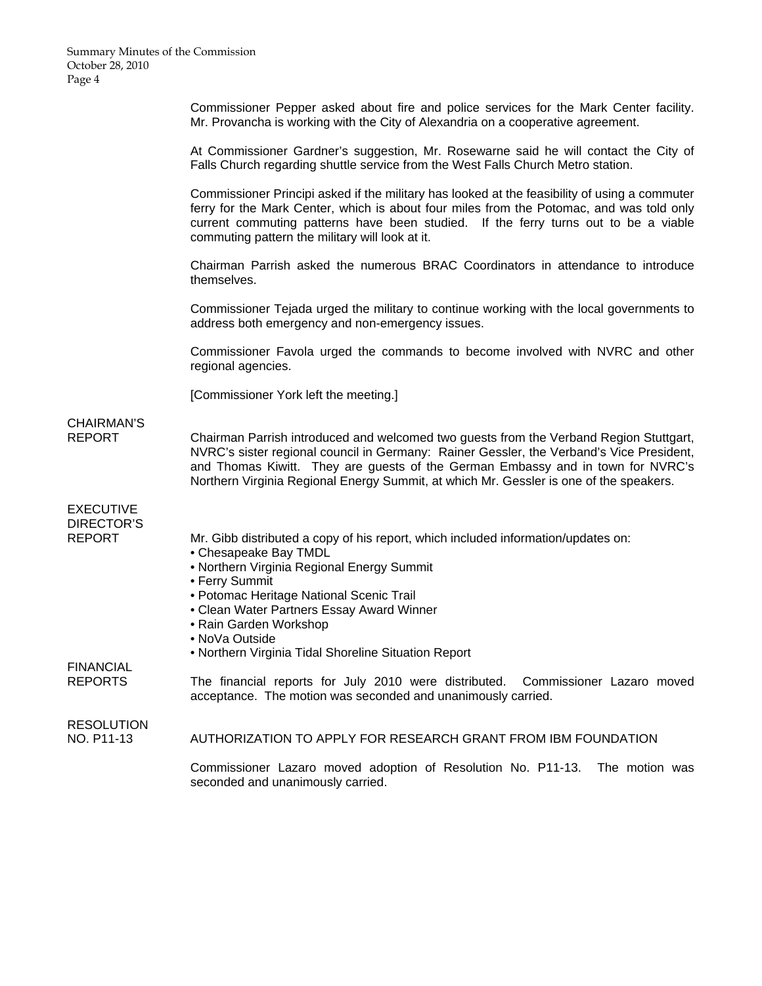Commissioner Pepper asked about fire and police services for the Mark Center facility. Mr. Provancha is working with the City of Alexandria on a cooperative agreement.

 At Commissioner Gardner's suggestion, Mr. Rosewarne said he will contact the City of Falls Church regarding shuttle service from the West Falls Church Metro station.

 Commissioner Principi asked if the military has looked at the feasibility of using a commuter ferry for the Mark Center, which is about four miles from the Potomac, and was told only current commuting patterns have been studied. If the ferry turns out to be a viable commuting pattern the military will look at it.

 Chairman Parrish asked the numerous BRAC Coordinators in attendance to introduce themselves.

 Commissioner Tejada urged the military to continue working with the local governments to address both emergency and non-emergency issues.

 Commissioner Favola urged the commands to become involved with NVRC and other regional agencies.

[Commissioner York left the meeting.]

# CHAIRMAN'S

REPORT Chairman Parrish introduced and welcomed two guests from the Verband Region Stuttgart, NVRC's sister regional council in Germany: Rainer Gessler, the Verband's Vice President, and Thomas Kiwitt. They are guests of the German Embassy and in town for NVRC's Northern Virginia Regional Energy Summit, at which Mr. Gessler is one of the speakers.

EXECUTIVE DIRECTOR'S

REPORT Mr. Gibb distributed a copy of his report, which included information/updates on:

- Chesapeake Bay TMDL
- Northern Virginia Regional Energy Summit
- Ferry Summit
- Potomac Heritage National Scenic Trail
- Clean Water Partners Essay Award Winner
- Rain Garden Workshop
- NoVa Outside
- Northern Virginia Tidal Shoreline Situation Report

FINANCIAL

REPORTS The financial reports for July 2010 were distributed. Commissioner Lazaro moved acceptance. The motion was seconded and unanimously carried.

**RESOLUTION** 

NO. P11-13 AUTHORIZATION TO APPLY FOR RESEARCH GRANT FROM IBM FOUNDATION

 Commissioner Lazaro moved adoption of Resolution No. P11-13. The motion was seconded and unanimously carried.